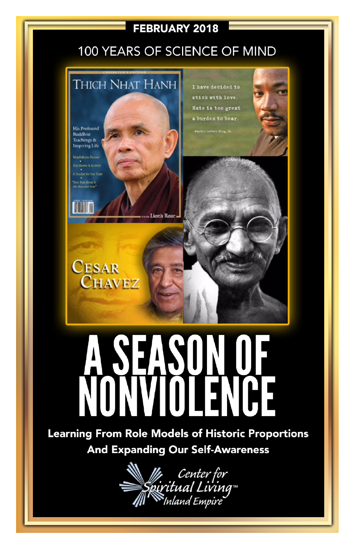#### **FEBRUARY 2018**

## 100 YEARS OF SCIENCE OF MIND



# 25

Learning From Role Models of Historic Proportions **And Expanding Our Self-Awareness** 

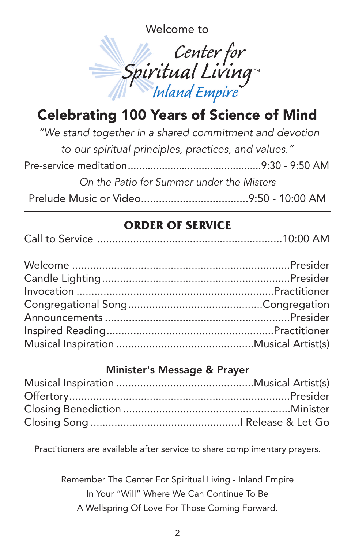Welcome to



# Celebrating 100 Years of Science of Mind

| "We stand together in a shared commitment and devotion |  |
|--------------------------------------------------------|--|
| to our spiritual principles, practices, and values."   |  |
|                                                        |  |
| On the Patio for Summer under the Misters              |  |
|                                                        |  |

#### **ORDER OF SERVICE**

|--|--|--|

#### Minister's Message & Prayer

Practitioners are available after service to share complimentary prayers.

Remember The Center For Spiritual Living - Inland Empire In Your "Will" Where We Can Continue To Be A Wellspring Of Love For Those Coming Forward.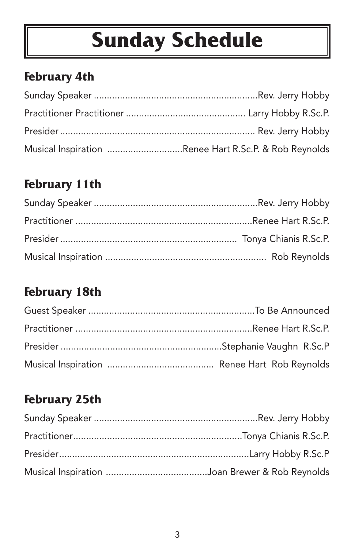# **Sunday Schedule**

# **February 4th**

| Musical Inspiration Renee Hart R.Sc.P. & Rob Reynolds |  |
|-------------------------------------------------------|--|

## **February 11th**

## **February 18th**

# **February 25th**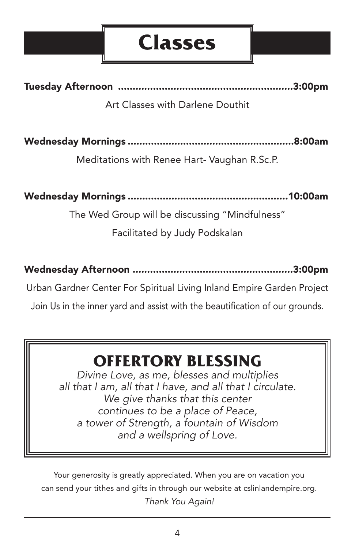# **Classes**

Tuesday Afternoon ............................................................3:00pm

#### Art Classes with Darlene Douthit

Wednesday Mornings .........................................................8:00am

Meditations with Renee Hart- Vaughan R.Sc.P.

Wednesday Mornings .......................................................10:00am

The Wed Group will be discussing "Mindfulness" Facilitated by Judy Podskalan

Wednesday Afternoon .......................................................3:00pm

Urban Gardner Center For Spiritual Living Inland Empire Garden Project

Join Us in the inner yard and assist with the beautification of our grounds.

# **OFFERTORY BLESSING**

*Divine Love, as me, blesses and multiplies all that I am, all that I have, and all that I circulate. We give thanks that this center continues to be a place of Peace, a tower of Strength, a fountain of Wisdom and a wellspring of Love.*

Your generosity is greatly appreciated. When you are on vacation you can send your tithes and gifts in through our website at cslinlandempire.org. *Thank You Again!*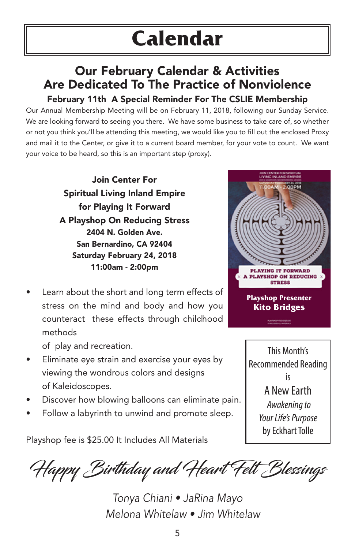#### Our February Calendar & Activities Are Dedicated To The Practice of Nonviolence February 11th A Special Reminder For The CSLIE Membership

Our Annual Membership Meeting will be on February 11, 2018, following our Sunday Service. We are looking forward to seeing you there. We have some business to take care of, so whether or not you think you'll be attending this meeting, we would like you to fill out the enclosed Proxy and mail it to the Center, or give it to a current board member, for your vote to count. We want your voice to be heard, so this is an important step (proxy).

> Join Center For Spiritual Living Inland Empire for Playing It Forward A Playshop On Reducing Stress 2404 N. Golden Ave. San Bernardino, CA 92404 Saturday February 24, 2018 11:00am - 2:00pm

Learn about the short and long term effects of stress on the mind and body and how you counteract these effects through childhood methods

of play and recreation.

- Eliminate eye strain and exercise your eyes by viewing the wondrous colors and designs of Kaleidoscopes.
- Discover how blowing balloons can eliminate pain.
- Follow a labyrinth to unwind and promote sleep.

Playshop fee is \$25.00 It Includes All Materials





Happy Birthday and Heart Felt Blessings

*Tonya Chiani • JaRina Mayo Melona Whitelaw • Jim Whitelaw*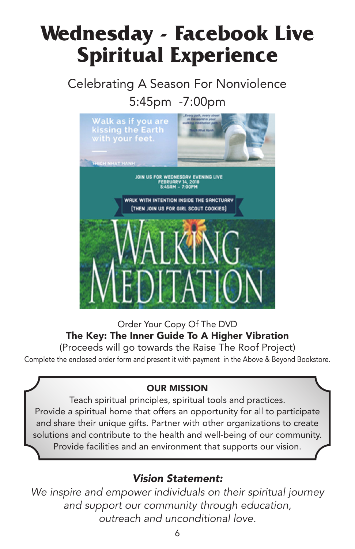# **Wednesday - Facebook Live Spiritual Experience**

Celebrating A Season For Nonviolence 5:45pm -7:00pm



Order Your Copy Of The DVD The Key: The Inner Guide To A Higher Vibration (Proceeds will go towards the Raise The Roof Project) Complete the enclosed order form and present it with payment in the Above & Beyond Bookstore.

#### OUR MISSION

Teach spiritual principles, spiritual tools and practices. Provide a spiritual home that offers an opportunity for all to participate and share their unique gifts. Partner with other organizations to create solutions and contribute to the health and well-being of our community. Provide facilities and an environment that supports our vision.

#### *Vision Statement:*

*We inspire and empower individuals on their spiritual journey and support our community through education, outreach and unconditional love.*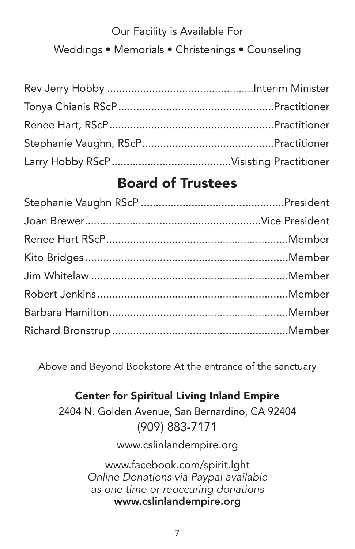# Our Facility is Available For Weddings • Memorials • Christenings • Counseling

## Board of Trustees

Above and Beyond Bookstore At the entrance of the sanctuary

#### Center for Spiritual Living Inland Empire

2404 N. Golden Avenue, San Bernardino, CA 92404 (909) 883-7171

www.cslinlandempire.org

www.facebook.com/spirit.lght *Online Donations via Paypal available as one time or reoccuring donations* www.cslinlandempire.org